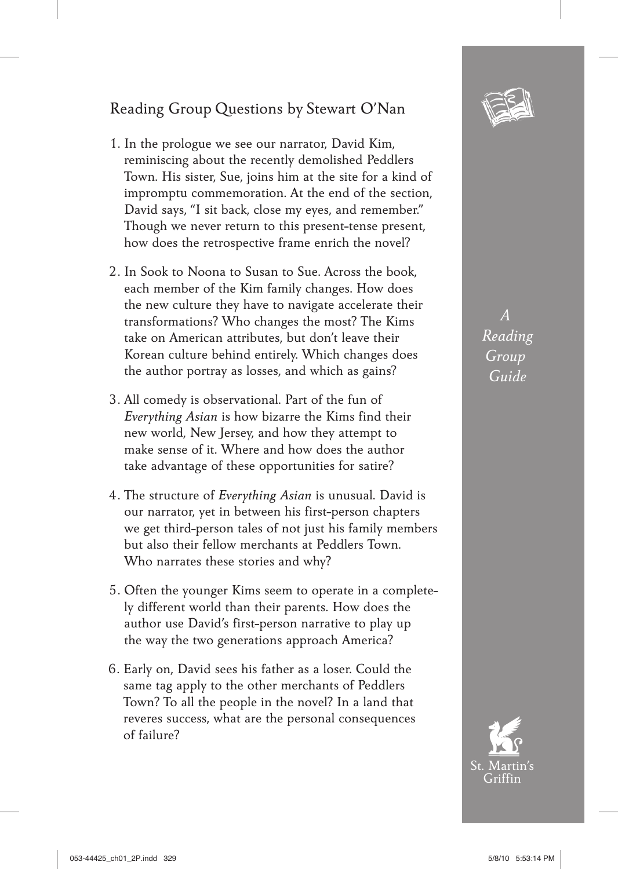## Reading Group Questions by Stewart O'Nan

- 1. In the prologue we see our narrator, David Kim, reminiscing about the recently demolished Peddlers Town. His sister, Sue, joins him at the site for a kind of impromptu commemoration. At the end of the section, David says, "I sit back, close my eyes, and remember." Though we never return to this present-tense present, how does the retrospective frame enrich the novel?
- 2. In Sook to Noona to Susan to Sue. Across the book, each member of the Kim family changes. How does the new culture they have to navigate accelerate their transformations? Who changes the most? The Kims take on American attributes, but don't leave their Korean culture behind entirely. Which changes does the author portray as losses, and which as gains?
- 3. All comedy is observational. Part of the fun of *Everything Asian* is how bizarre the Kims find their new world, New Jersey, and how they attempt to make sense of it. Where and how does the author take advantage of these opportunities for satire?
- 4. The structure of *Everything Asian* is unusual. David is our narrator, yet in between his first-person chapters we get third-person tales of not just his family members but also their fellow merchants at Peddlers Town. Who narrates these stories and why?
- 5. Often the younger Kims seem to operate in a completely different world than their parents. How does the author use David's first-person narrative to play up the way the two generations approach America?
- 6. Early on, David sees his father as a loser. Could the same tag apply to the other merchants of Peddlers Town? To all the people in the novel? In a land that reveres success, what are the personal consequences of failure?



*A Reading Group Guide*